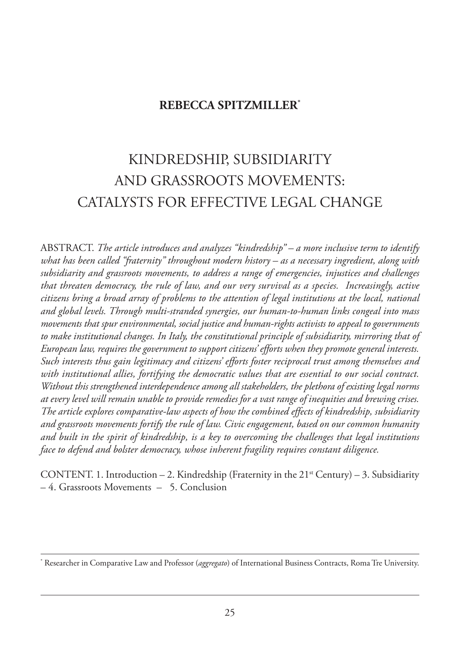## **REBECCA SPITZMILLER\***

# KINDREDSHIP, SUBSIDIARITY AND GRASSROOTS MOVEMENTS: CATALYSTS FOR EFFECTIVE LEGAL CHANGE

ABSTRACT. *The article introduces and analyzes "kindredship" – a more inclusive term to identify what has been called "fraternity" throughout modern history – as a necessary ingredient, along with subsidiarity and grassroots movements, to address a range of emergencies, injustices and challenges that threaten democracy, the rule of law, and our very survival as a species. Increasingly, active citizens bring a broad array of problems to the attention of legal institutions at the local, national and global levels. Through multi-stranded synergies, our human-to-human links congeal into mass movements that spur environmental, social justice and human-rights activists to appeal to governments to make institutional changes. In Italy, the constitutional principle of subsidiarity, mirroring that of European law, requires the government to support citizens' efforts when they promote general interests. Such interests thus gain legitimacy and citizens' efforts foster reciprocal trust among themselves and with institutional allies, fortifying the democratic values that are essential to our social contract. Without this strengthened interdependence among all stakeholders, the plethora of existing legal norms* at every level will remain unable to provide remedies for a vast range of inequities and brewing crises. *The article explores comparative-law aspects of how the combined effects of kindredship, subsidiarity and grassroots movements fortify the rule of law. Civic engagement, based on our common humanity and built in the spirit of kindredship, is a key to overcoming the challenges that legal institutions face to defend and bolster democracy, whose inherent fragility requires constant diligence.*

CONTENT. 1. Introduction – 2. Kindredship (Fraternity in the  $21<sup>st</sup>$  Century) – 3. Subsidiarity – 4. Grassroots Movements – 5. Conclusion

<sup>\*</sup> Researcher in Comparative Law and Professor (*aggregato*) of International Business Contracts, RomaTre University.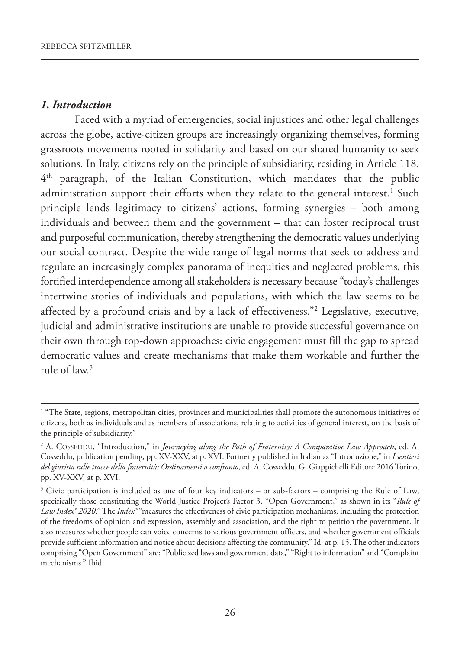### *1. Introduction*

Faced with a myriad of emergencies, social injustices and other legal challenges across the globe, active-citizen groups are increasingly organizing themselves, forming grassroots movements rooted in solidarity and based on our shared humanity to seek solutions. In Italy, citizens rely on the principle of subsidiarity, residing in Article 118, 4th paragraph, of the Italian Constitution, which mandates that the public administration support their efforts when they relate to the general interest. <sup>1</sup> Such principle lends legitimacy to citizens' actions, forming synergies – both among individuals and between them and the government – that can foster reciprocal trust and purposeful communication, thereby strengthening the democratic values underlying our social contract. Despite the wide range of legal norms that seek to address and regulate an increasingly complex panorama of inequities and neglected problems, this fortified interdependence among all stakeholders is necessary because "today's challenges intertwine stories of individuals and populations, with which the law seems to be affected by a profound crisis and by a lack of effectiveness."2 Legislative, executive, judicial and administrative institutions are unable to provide successful governance on their own through top-down approaches: civic engagement must fill the gap to spread democratic values and create mechanisms that make them workable and further the rule of law. 3

<sup>&</sup>lt;sup>1</sup> "The State, regions, metropolitan cities, provinces and municipalities shall promote the autonomous initiatives of citizens, both as individuals and as members of associations, relating to activities of general interest, on the basis of the principle of subsidiarity."

<sup>2</sup> A. COSSEDDU, "Introduction," in *Journeying along the Path of Fraternity: A Comparative Law Approach*, ed. A. Cosseddu, publication pending, pp. XV-XXV, at p. XVI. Formerly published in Italian as "Introduzione," in *I sentieri del giurista sulle tracce della fraternità: Ordinamenti a confronto*, ed. A. Cosseddu, G. Giappichelli Editore 2016Torino, pp. XV-XXV, at p. XVI.

 $3$  Civic participation is included as one of four key indicators – or sub-factors – comprising the Rule of Law, specifically those constituting the World Justice Project's Factor 3, "Open Government," as shown in its "*Rule of Law Index® 2020*."The *Index®* "measures the effectiveness of civic participation mechanisms, including the protection of the freedoms of opinion and expression, assembly and association, and the right to petition the government. It also measures whether people can voice concerns to various government officers, and whether government officials provide sufficient information and notice about decisions affecting the community." Id. at p. 15.The other indicators comprising "Open Government" are: "Publicized laws and government data," "Right to information" and "Complaint mechanisms." Ibid.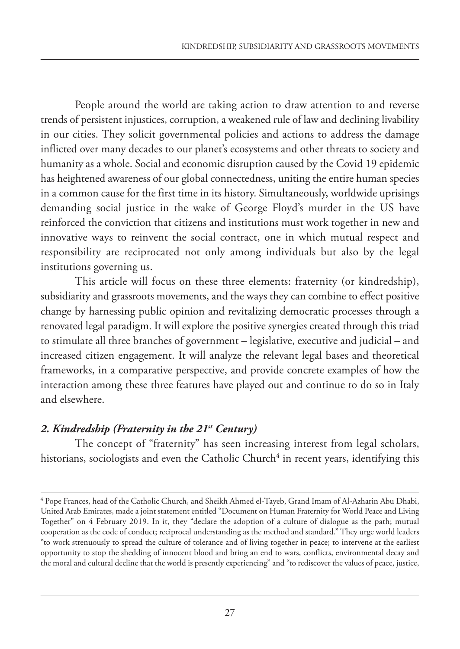People around the world are taking action to draw attention to and reverse trends of persistent injustices, corruption, a weakened rule of law and declining livability in our cities. They solicit governmental policies and actions to address the damage inflicted over many decades to our planet's ecosystems and other threats to society and humanity as a whole. Social and economic disruption caused by the Covid 19 epidemic has heightened awareness of our global connectedness, uniting the entire human species in a common cause for the first time in its history. Simultaneously, worldwide uprisings demanding social justice in the wake of George Floyd's murder in the US have reinforced the conviction that citizens and institutions must work together in new and innovative ways to reinvent the social contract, one in which mutual respect and responsibility are reciprocated not only among individuals but also by the legal institutions governing us.

This article will focus on these three elements: fraternity (or kindredship), subsidiarity and grassroots movements, and the ways they can combine to effect positive change by harnessing public opinion and revitalizing democratic processes through a renovated legal paradigm. It will explore the positive synergies created through this triad to stimulate all three branches of government – legislative, executive and judicial – and increased citizen engagement. It will analyze the relevant legal bases and theoretical frameworks, in a comparative perspective, and provide concrete examples of how the interaction among these three features have played out and continue to do so in Italy and elsewhere.

# *2. Kindredship (Fraternity in the 21st Century)*

The concept of "fraternity" has seen increasing interest from legal scholars, historians, sociologists and even the Catholic Church<sup>4</sup> in recent years, identifying this

<sup>4</sup> Pope Frances, head of the Catholic Church, and Sheikh Ahmed el-Tayeb, Grand Imam of Al-Azharin Abu Dhabi, United Arab Emirates, made a joint statement entitled "Document on Human Fraternity for World Peace and Living Together" on 4 February 2019. In it, they "declare the adoption of a culture of dialogue as the path; mutual cooperation as the code of conduct; reciprocal understanding as the method and standard." They urge world leaders "to work strenuously to spread the culture of tolerance and of living together in peace; to intervene at the earliest opportunity to stop the shedding of innocent blood and bring an end to wars, conflicts, environmental decay and the moral and cultural decline that the world is presently experiencing" and "to rediscover the values of peace, justice,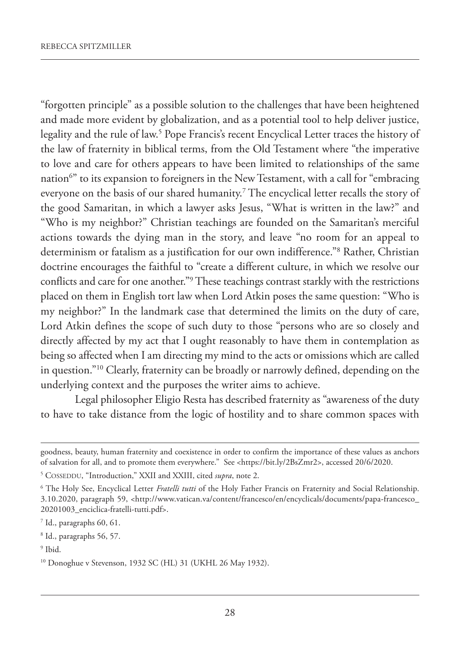"forgotten principle" as a possible solution to the challenges that have been heightened and made more evident by globalization, and as a potential tool to help deliver justice, legality and the rule of law. <sup>5</sup> Pope Francis's recent Encyclical Letter traces the history of the law of fraternity in biblical terms, from the Old Testament where "the imperative to love and care for others appears to have been limited to relationships of the same nation $^{69}$  to its expansion to foreigners in the New Testament, with a call for "embracing everyone on the basis of our shared humanity. <sup>7</sup> The encyclical letter recalls the story of the good Samaritan, in which a lawyer asks Jesus, "What is written in the law?" and "Who is my neighbor?" Christian teachings are founded on the Samaritan's merciful actions towards the dying man in the story, and leave "no room for an appeal to determinism or fatalism as a justification for our own indifference."8 Rather, Christian doctrine encourages the faithful to "create a different culture, in which we resolve our conflicts and care for one another."9 These teachings contrast starkly with the restrictions placed on them in English tort law when Lord Atkin poses the same question: "Who is my neighbor?" In the landmark case that determined the limits on the duty of care, Lord Atkin defines the scope of such duty to those "persons who are so closely and directly affected by my act that I ought reasonably to have them in contemplation as being so affected when I am directing my mind to the acts or omissions which are called in question."10 Clearly, fraternity can be broadly or narrowly defined, depending on the underlying context and the purposes the writer aims to achieve.

Legal philosopher Eligio Resta has described fraternity as "awareness of the duty to have to take distance from the logic of hostility and to share common spaces with

<sup>9</sup> Ibid.

goodness, beauty, human fraternity and coexistence in order to confirm the importance of these values as anchors of salvation for all, and to promote them everywhere." See <https://bit.ly/2Bszmr2>, accessed 20/6/2020.

<sup>5</sup> COSSEDDU, "Introduction," XXII and XXIII, cited *supra*, note 2.

<sup>6</sup> The Holy See, Encyclical Letter *Fratelli tutti* of the Holy Father Francis on Fraternity and Social Relationship. 3.10.2020, paragraph 59, <http://www.vatican.va/content/francesco/en/encyclicals/documents/papa-francesco\_ 20201003\_enciclica-fratelli-tutti.pdf>.

<sup>7</sup> Id., paragraphs 60, 61.

<sup>8</sup> Id., paragraphs 56, 57.

<sup>10</sup> Donoghue v Stevenson, 1932 SC (HL) 31 (UKHL 26 May 1932).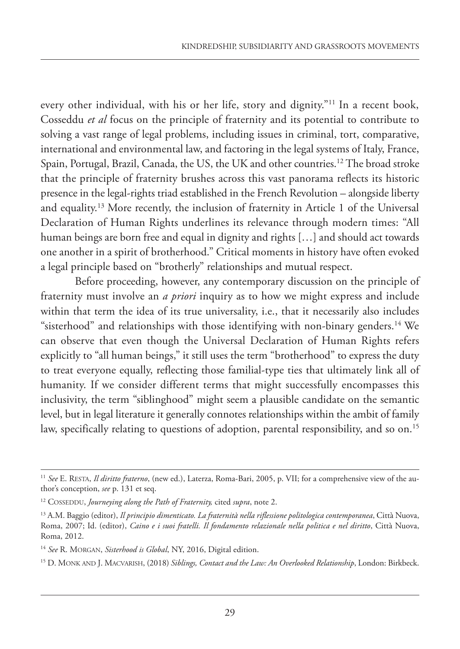every other individual, with his or her life, story and dignity."<sup>11</sup> In a recent book, Cosseddu *et al* focus on the principle of fraternity and its potential to contribute to solving a vast range of legal problems, including issues in criminal, tort, comparative, international and environmental law, and factoring in the legal systems of Italy, France, Spain, Portugal, Brazil, Canada, the US, the UK and other countries. <sup>12</sup> The broad stroke that the principle of fraternity brushes across this vast panorama reflects its historic presence in the legal-rights triad established in the French Revolution – alongside liberty and equality. <sup>13</sup> More recently, the inclusion of fraternity in Article 1 of the Universal Declaration of Human Rights underlines its relevance through modern times: "All human beings are born free and equal in dignity and rights […] and should act towards one another in a spirit of brotherhood." Critical moments in history have often evoked a legal principle based on "brotherly" relationships and mutual respect.

Before proceeding, however, any contemporary discussion on the principle of fraternity must involve an *a priori* inquiry as to how we might express and include within that term the idea of its true universality, i.e., that it necessarily also includes "sisterhood" and relationships with those identifying with non-binary genders.<sup>14</sup> We can observe that even though the Universal Declaration of Human Rights refers explicitly to "all human beings," it still uses the term "brotherhood" to express the duty to treat everyone equally, reflecting those familial-type ties that ultimately link all of humanity. If we consider different terms that might successfully encompasses this inclusivity, the term "siblinghood" might seem a plausible candidate on the semantic level, but in legal literature it generally connotes relationships within the ambit of family law, specifically relating to questions of adoption, parental responsibility, and so on. 15

<sup>11</sup> *See* E. RESTA, *Il diritto fraterno*, (new ed.), Laterza, Roma-Bari, 2005, p. VII; for a comprehensive view of the author's conception, *see* p. 131 et seq.

<sup>12</sup> COSSEDDU, *Journeying along the Path of Fraternity,* cited *supra*, note 2.

<sup>13</sup> A.M. Baggio (editor), *Il principio dimenticato. La fraternità nella riflessione politologica contemporanea*, Città Nuova, Roma, 2007; Id. (editor), *Caino e i suoi fratelli. Il fondamento relazionale nella politica e nel diritto*, Città Nuova, Roma, 2012.

<sup>14</sup> *See* R. MORGAN, *Sisterhood is Global*, NY, 2016, Digital edition.

<sup>15</sup> D. MONK AND J. MACVARISH, (2018) *Siblings, Contact and the Law: An Overlooked Relationship*, London: Birkbeck.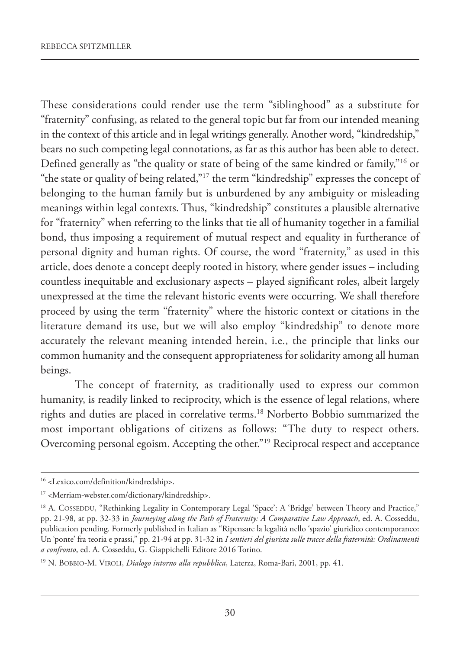These considerations could render use the term "siblinghood" as a substitute for "fraternity" confusing, as related to the general topic but far from our intended meaning in the context of this article and in legal writings generally. Another word, "kindredship," bears no such competing legal connotations, as far as this author has been able to detect. Defined generally as "the quality or state of being of the same kindred or family,"16 or "the state or quality of being related,"17 the term "kindredship" expresses the concept of belonging to the human family but is unburdened by any ambiguity or misleading meanings within legal contexts. Thus, "kindredship" constitutes a plausible alternative for "fraternity" when referring to the links that tie all of humanity together in a familial bond, thus imposing a requirement of mutual respect and equality in furtherance of personal dignity and human rights. Of course, the word "fraternity," as used in this article, does denote a concept deeply rooted in history, where gender issues – including countless inequitable and exclusionary aspects – played significant roles, albeit largely unexpressed at the time the relevant historic events were occurring. We shall therefore proceed by using the term "fraternity" where the historic context or citations in the literature demand its use, but we will also employ "kindredship" to denote more accurately the relevant meaning intended herein, i.e., the principle that links our common humanity and the consequent appropriateness for solidarity among all human beings.

The concept of fraternity, as traditionally used to express our common humanity, is readily linked to reciprocity, which is the essence of legal relations, where rights and duties are placed in correlative terms. <sup>18</sup> Norberto Bobbio summarized the most important obligations of citizens as follows: "The duty to respect others. Overcoming personal egoism. Accepting the other."19 Reciprocal respect and acceptance

<sup>16</sup> <Lexico.com/definition/kindredship>.

<sup>17</sup> <Merriam-webster.com/dictionary/kindredship>.

<sup>18</sup> A. COSSEDDU, "Rethinking Legality in Contemporary Legal 'Space': A 'Bridge' between Theory and Practice," pp. 21-98, at pp. 32-33 in *Journeying along the Path of Fraternity: A Comparative Law Approach*, ed. A. Cosseddu, publication pending. Formerly published in Italian as "Ripensare la legalità nello 'spazio' giuridico contemporaneo: Un 'ponte' fra teoria e prassi," pp. 21-94 at pp. 31-32 in *I sentieri del giurista sulle tracce della fraternità: Ordinamenti a confronto*, ed. A. Cosseddu, G. Giappichelli Editore 2016 Torino.

<sup>19</sup> N. BOBBIO-M. VIROLI, *Dialogo intorno alla repubblica*, Laterza, Roma-Bari, 2001, pp. 41.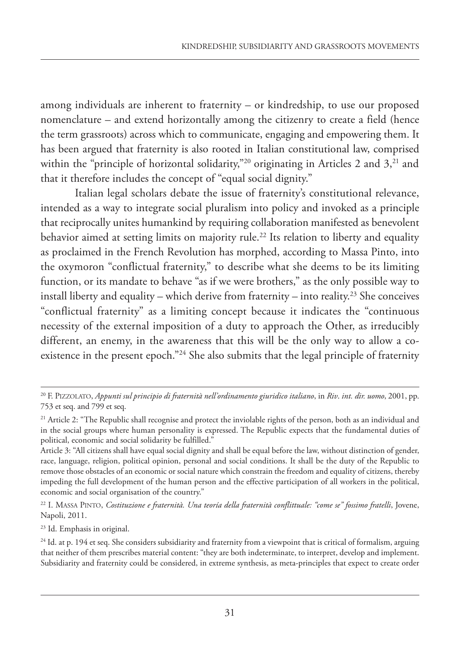among individuals are inherent to fraternity – or kindredship, to use our proposed nomenclature – and extend horizontally among the citizenry to create a field (hence the term grassroots) across which to communicate, engaging and empowering them. It has been argued that fraternity is also rooted in Italian constitutional law, comprised within the "principle of horizontal solidarity," $^{20}$  originating in Articles 2 and 3, $^{21}$  and that it therefore includes the concept of "equal social dignity."

Italian legal scholars debate the issue of fraternity's constitutional relevance, intended as a way to integrate social pluralism into policy and invoked as a principle that reciprocally unites humankind by requiring collaboration manifested as benevolent behavior aimed at setting limits on majority rule. <sup>22</sup> Its relation to liberty and equality as proclaimed in the French Revolution has morphed, according to Massa Pinto, into the oxymoron "conflictual fraternity," to describe what she deems to be its limiting function, or its mandate to behave "as if we were brothers," as the only possible way to install liberty and equality – which derive from fraternity – into reality. <sup>23</sup> She conceives "conflictual fraternity" as a limiting concept because it indicates the "continuous necessity of the external imposition of a duty to approach the Other, as irreducibly different, an enemy, in the awareness that this will be the only way to allow a coexistence in the present epoch."24 She also submits that the legal principle of fraternity

<sup>23</sup> Id. Emphasis in original.

<sup>20</sup> F. PIzzOLATO, *Appunti sul principio di fraternità nell'ordinamento giuridico italiano*, in *Riv*. *int. dir. uomo*, 2001, pp. 753 et seq. and 799 et seq.

<sup>&</sup>lt;sup>21</sup> Article 2: "The Republic shall recognise and protect the inviolable rights of the person, both as an individual and in the social groups where human personality is expressed. The Republic expects that the fundamental duties of political, economic and social solidarity be fulfilled."

Article 3: "All citizens shall have equal social dignity and shall be equal before the law, without distinction of gender, race, language, religion, political opinion, personal and social conditions. It shall be the duty of the Republic to remove those obstacles of an economic or social nature which constrain the freedom and equality of citizens, thereby impeding the full development of the human person and the effective participation of all workers in the political, economic and social organisation of the country."

<sup>22</sup> I. MASSA PINTO, *Costituzione e fraternità. Una teoría della fraternità conflittuale: "come se" fossimo fratelli*, Jovene, Napoli, 2011.

<sup>&</sup>lt;sup>24</sup> Id. at p. 194 et seq. She considers subsidiarity and fraternity from a viewpoint that is critical of formalism, arguing that neither of them prescribes material content: "they are both indeterminate, to interpret, develop and implement. Subsidiarity and fraternity could be considered, in extreme synthesis, as meta-principles that expect to create order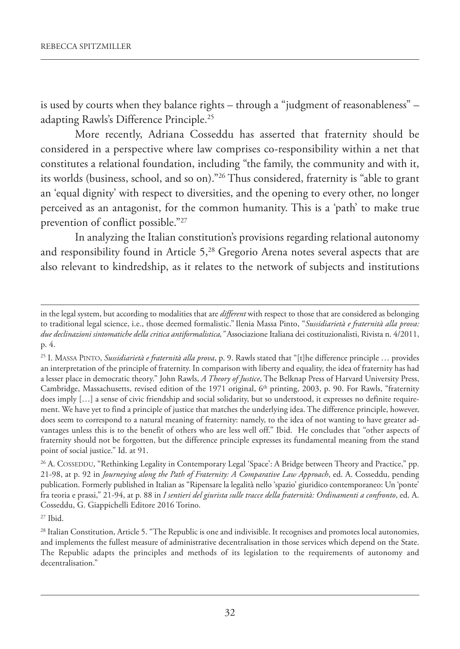is used by courts when they balance rights – through a "judgment of reasonableness" – adapting Rawls's Difference Principle. 25

More recently, Adriana Cosseddu has asserted that fraternity should be considered in a perspective where law comprises co-responsibility within a net that constitutes a relational foundation, including "the family, the community and with it, its worlds (business, school, and so on)."26 Thus considered, fraternity is "able to grant an 'equal dignity' with respect to diversities, and the opening to every other, no longer perceived as an antagonist, for the common humanity. This is a 'path' to make true prevention of conflict possible."27

In analyzing the Italian constitution's provisions regarding relational autonomy and responsibility found in Article 5, <sup>28</sup> Gregorio Arena notes several aspects that are also relevant to kindredship, as it relates to the network of subjects and institutions

in the legal system, but according to modalities that are *different* with respect to those that are considered as belonging to traditional legal science, i.e., those deemed formalistic." Ilenia Massa Pinto, "*Sussidiarietà e fraternità alla prova: due declinazioni sintomatiche della critica antiformalistica,"* Associazione Italiana dei costituzionalisti, Rivista n. 4/2011, p. 4.

<sup>25</sup> I. MASSA PINTO, *Sussidiarietà e fraternità alla prova*, p. 9. Rawls stated that "[t]he difference principle … provides an interpretation of the principle of fraternity. In comparison with liberty and equality, the idea of fraternity has had a lesser place in democratic theory." John Rawls, *A Theory of Justice*, The Belknap Press of Harvard University Press, Cambridge, Massachusetts, revised edition of the 1971 original, 6<sup>th</sup> printing, 2003, p. 90. For Rawls, "fraternity does imply […] a sense of civic friendship and social solidarity, but so understood, it expresses no definite requirement. We have yet to find a principle of justice that matches the underlying idea. The difference principle, however, does seem to correspond to a natural meaning of fraternity: namely, to the idea of not wanting to have greater advantages unless this is to the benefit of others who are less well off." Ibid. He concludes that "other aspects of fraternity should not be forgotten, but the difference principle expresses its fundamental meaning from the stand point of social justice." Id. at 91.

<sup>26</sup> A. COSSEDDU, "Rethinking Legality in Contemporary Legal 'Space': A Bridge between Theory and Practice," pp. 21-98, at p. 92 in *Journeying along the Path of Fraternity: A Comparative Law Approach*, ed. A. Cosseddu, pending publication. Formerly published in Italian as "Ripensare la legalità nello 'spazio' giuridico contemporaneo: Un 'ponte' fra teoria e prassi," 21-94, at p. 88 in *I sentieri del giurista sulle tracce della fraternità: Ordinamenti a confronto*, ed. A. Cosseddu, G. Giappichelli Editore 2016 Torino.

 $27$  Ibid.

<sup>&</sup>lt;sup>28</sup> Italian Constitution, Article 5. "The Republic is one and indivisible. It recognises and promotes local autonomies, and implements the fullest measure of administrative decentralisation in those services which depend on the State. The Republic adapts the principles and methods of its legislation to the requirements of autonomy and decentralisation."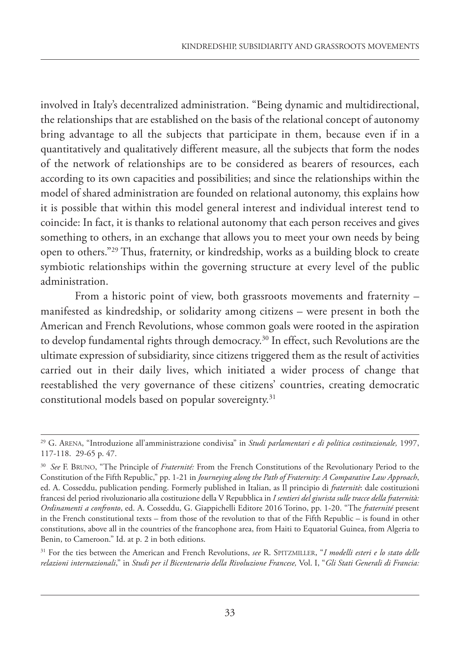involved in Italy's decentralized administration. "Being dynamic and multidirectional, the relationships that are established on the basis of the relational concept of autonomy bring advantage to all the subjects that participate in them, because even if in a quantitatively and qualitatively different measure, all the subjects that form the nodes of the network of relationships are to be considered as bearers of resources, each according to its own capacities and possibilities; and since the relationships within the model of shared administration are founded on relational autonomy, this explains how it is possible that within this model general interest and individual interest tend to coincide: In fact, it is thanks to relational autonomy that each person receives and gives something to others, in an exchange that allows you to meet your own needs by being open to others."29 Thus, fraternity, or kindredship, works as a building block to create symbiotic relationships within the governing structure at every level of the public administration.

From a historic point of view, both grassroots movements and fraternity – manifested as kindredship, or solidarity among citizens – were present in both the American and French Revolutions, whose common goals were rooted in the aspiration to develop fundamental rights through democracy. <sup>30</sup> In effect, such Revolutions are the ultimate expression of subsidiarity, since citizens triggered them as the result of activities carried out in their daily lives, which initiated a wider process of change that reestablished the very governance of these citizens' countries, creating democratic constitutional models based on popular sovereignty. 31

<sup>29</sup> G. ARENA, "Introduzione all'amministrazione condivisa" in *Studi parlamentari e di política costituzionale,* 1997, 117-118. 29-65 p. 47.

<sup>30</sup> *See* F. BRUNO, "The Principle of *Fraternité:* From the French Constitutions of the Revolutionary Period to the Constitution of the Fifth Republic," pp. 1-21 in *Journeying along the Path of Fraternity: A Comparative Law Approach*, ed. A. Cosseddu, publication pending. Formerly published in Italian, as Il principio di *fraternitè*: dale costituzioni francesi del period rivoluzionario alla costituzione della V Repubblica in *I sentieri del giurista sulle tracce della fraternità: Ordinamenti a confronto*, ed. A. Cosseddu, G. Giappichelli Editore 2016 Torino, pp. 1-20. "The *fraternité* present in the French constitutional texts – from those of the revolution to that of the Fifth Republic – is found in other constitutions, above all in the countries of the francophone area, from Haiti to Equatorial Guinea, from Algeria to Benin, to Cameroon." Id. at p. 2 in both editions.

<sup>31</sup> For the ties between the American and French Revolutions, *see* R. SPITzMILLER, "*I modelli esteri e lo stato delle relazioni internazionali*," in *Studi per il Bicentenario della Rivoluzione Francese,* Vol. I, "*Gli Stati Generali di Francia:*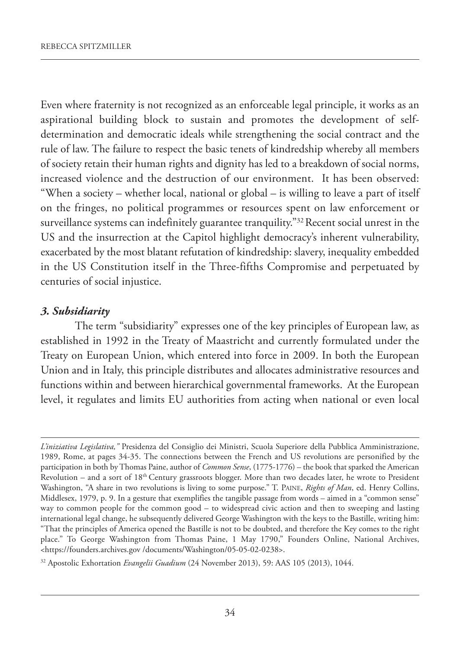Even where fraternity is not recognized as an enforceable legal principle, it works as an aspirational building block to sustain and promotes the development of selfdetermination and democratic ideals while strengthening the social contract and the rule of law. The failure to respect the basic tenets of kindredship whereby all members of society retain their human rights and dignity has led to a breakdown of social norms, increased violence and the destruction of our environment. It has been observed: "When a society – whether local, national or global – is willing to leave a part of itself on the fringes, no political programmes or resources spent on law enforcement or surveillance systems can indefinitely guarantee tranquility."<sup>32</sup> Recent social unrest in the US and the insurrection at the Capitol highlight democracy's inherent vulnerability, exacerbated by the most blatant refutation of kindredship: slavery, inequality embedded in the US Constitution itself in the Three-fifths Compromise and perpetuated by centuries of social injustice.

#### *3. Subsidiarity*

The term "subsidiarity" expresses one of the key principles of European law, as established in 1992 in the Treaty of Maastricht and currently formulated under the Treaty on European Union, which entered into force in 2009. In both the European Union and in Italy, this principle distributes and allocates administrative resources and functions within and between hierarchical governmental frameworks. At the European level, it regulates and limits EU authorities from acting when national or even local

*L'iniziativa Legislativa,"* Presidenza del Consiglio dei Ministri, Scuola Superiore della Pubblica Amministrazione, 1989, Rome, at pages 34-35. The connections between the French and US revolutions are personified by the participation in both byThomas Paine, author of *Common Sense*, (1775-1776) – the book that sparked the American Revolution – and a sort of 18th Century grassroots blogger. More than two decades later, he wrote to President Washington, "A share in two revolutions is living to some purpose." T. PAINE, *Rights of Man*, ed. Henry Collins, Middlesex, 1979, p. 9. In a gesture that exemplifies the tangible passage from words – aimed in a "common sense" way to common people for the common good – to widespread civic action and then to sweeping and lasting international legal change, he subsequently delivered George Washington with the keys to the Bastille, writing him: "That the principles of America opened the Bastille is not to be doubted, and therefore the Key comes to the right place." To George Washington from Thomas Paine, 1 May 1790," Founders Online, National Archives, <https://founders.archives.gov /documents/Washington/05-05-02-0238>.

<sup>32</sup> Apostolic Exhortation *Evangelii Guadium* (24 November 2013), 59: AAS 105 (2013), 1044.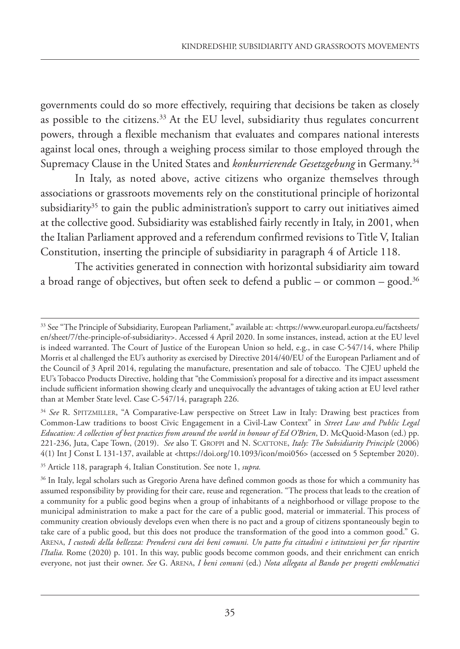governments could do so more effectively, requiring that decisions be taken as closely as possible to the citizens. <sup>33</sup> At the EU level, subsidiarity thus regulates concurrent powers, through a flexible mechanism that evaluates and compares national interests against local ones, through a weighing process similar to those employed through the Supremacy Clause in the United States and *konkurrierende Gesetzgebung* in Germany. 34

In Italy, as noted above, active citizens who organize themselves through associations or grassroots movements rely on the constitutional principle of horizontal subsidiarity<sup>35</sup> to gain the public administration's support to carry out initiatives aimed at the collective good. Subsidiarity was established fairly recently in Italy, in 2001, when the Italian Parliament approved and a referendum confirmed revisions to Title V, Italian Constitution, inserting the principle of subsidiarity in paragraph 4 of Article 118.

The activities generated in connection with horizontal subsidiarity aim toward a broad range of objectives, but often seek to defend a public – or common – good. 36

<sup>33</sup> See "The Principle of Subsidiarity, European Parliament," available at: <https://www.europarl.europa.eu/factsheets/ en/sheet/7/the-principle-of-subsidiarity>. Accessed 4 April 2020. In some instances, instead, action at the EU level is indeed warranted. The Court of Justice of the European Union so held, e.g., in case C-547/14, where Philip Morris et al challenged the EU's authority as exercised by Directive 2014/40/EU of the European Parliament and of the Council of 3 April 2014, regulating the manufacture, presentation and sale of tobacco. The CJEU upheld the EU's Tobacco Products Directive, holding that "the Commission's proposal for a directive and its impact assessment include sufficient information showing clearly and unequivocally the advantages of taking action at EU level rather than at Member State level. Case C-547/14, paragraph 226.

<sup>34</sup> *See* R. SPITzMILLER, "A Comparative-Law perspective on Street Law in Italy: Drawing best practices from Common-Law traditions to boost Civic Engagement in a Civil-Law Context" in *Street Law and Public Legal Education: A collection of best practices from around the world in honour of Ed O'Brien*, D. McQuoid-Mason (ed.) pp. 221-236, Juta, Cape Town, (2019). *See* also T. GROPPI and N. SCATTONE, *Italy: The Subsidiarity Principle* (2006) 4(1) Int J Const L 131-137, available at <https://doi.org/10.1093/icon/moi056> (accessed on 5 September 2020).

<sup>35</sup> Article 118, paragraph 4, Italian Constitution. See note 1, *supra.*

<sup>36</sup> In Italy, legal scholars such as Gregorio Arena have defined common goods as those for which a community has assumed responsibility by providing for their care, reuse and regeneration. "The process that leads to the creation of a community for a public good begins when a group of inhabitants of a neighborhood or village propose to the municipal administration to make a pact for the care of a public good, material or immaterial. This process of community creation obviously develops even when there is no pact and a group of citizens spontaneously begin to take care of a public good, but this does not produce the transformation of the good into a common good." G. ARENA, I custodi della bellezza: Prendersi cura dei beni comuni. Un patto fra cittadini e istitutzioni per far ripartire *l'Italia.* Rome (2020) p. 101. In this way, public goods become common goods, and their enrichment can enrich everyone, not just their owner. *See* G. ARENA, *I beni comuni* (ed.) *Nota allegata al Bando per progetti emblematici*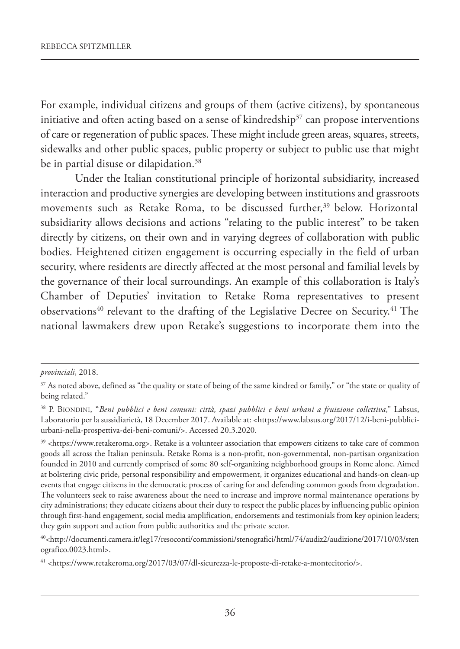For example, individual citizens and groups of them (active citizens), by spontaneous initiative and often acting based on a sense of kindredship $37$  can propose interventions of care or regeneration of public spaces.These might include green areas, squares, streets, sidewalks and other public spaces, public property or subject to public use that might be in partial disuse or dilapidation. 38

Under the Italian constitutional principle of horizontal subsidiarity, increased interaction and productive synergies are developing between institutions and grassroots movements such as Retake Roma, to be discussed further, <sup>39</sup> below. Horizontal subsidiarity allows decisions and actions "relating to the public interest" to be taken directly by citizens, on their own and in varying degrees of collaboration with public bodies. Heightened citizen engagement is occurring especially in the field of urban security, where residents are directly affected at the most personal and familial levels by the governance of their local surroundings. An example of this collaboration is Italy's Chamber of Deputies' invitation to Retake Roma representatives to present observations $^{40}$  relevant to the drafting of the Legislative Decree on Security. $^{41}$  The national lawmakers drew upon Retake's suggestions to incorporate them into the

*provinciali*, 2018.

<sup>&</sup>lt;sup>37</sup> As noted above, defined as "the quality or state of being of the same kindred or family," or "the state or quality of being related."

<sup>38</sup> P. BIONDINI, "*Beni pubblici e beni comuni: città, spazi pubblici e beni urbani a fruizione collettiva*," Labsus, Laboratorio per la sussidiarietà, 18 December 2017. Available at: <https://www.labsus.org/2017/12/i-beni-pubbliciurbani-nella-prospettiva-dei-beni-comuni/>. Accessed 20.3.2020.

<sup>39</sup> <https://www.retakeroma.org>. Retake is a volunteer association that empowers citizens to take care of common goods all across the Italian peninsula. Retake Roma is a non-profit, non-governmental, non-partisan organization founded in 2010 and currently comprised of some 80 self-organizing neighborhood groups in Rome alone. Aimed at bolstering civic pride, personal responsibility and empowerment, it organizes educational and hands-on clean-up events that engage citizens in the democratic process of caring for and defending common goods from degradation. The volunteers seek to raise awareness about the need to increase and improve normal maintenance operations by city administrations; they educate citizens about their duty to respect the public places by influencing public opinion through first-hand engagement, social media amplification, endorsements and testimonials from key opinion leaders; they gain support and action from public authorities and the private sector.

<sup>40</sup> <http://documenti.camera.it/leg17/resoconti/commissioni/stenografici/html/74/audiz2/audizione/2017/10/03/sten ografico.0023.html>.

<sup>41</sup> <https://www.retakeroma.org/2017/03/07/dl-sicurezza-le-proposte-di-retake-a-montecitorio/>.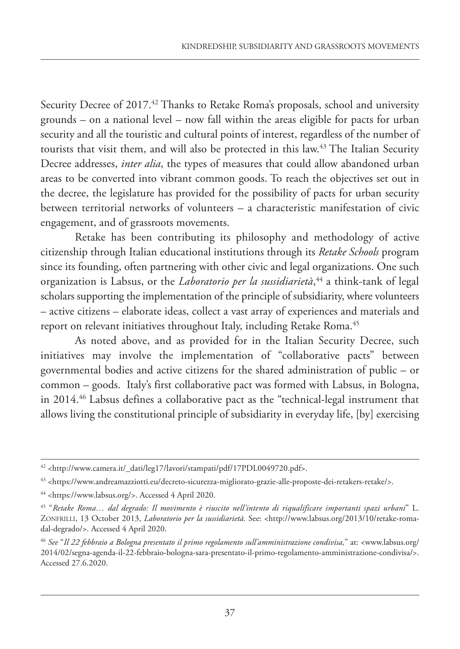Security Decree of 2017. <sup>42</sup> Thanks to Retake Roma's proposals, school and university grounds – on a national level – now fall within the areas eligible for pacts for urban security and all the touristic and cultural points of interest, regardless of the number of tourists that visit them, and will also be protected in this law. <sup>43</sup> The Italian Security Decree addresses, *inter alia*, the types of measures that could allow abandoned urban areas to be converted into vibrant common goods. To reach the objectives set out in the decree, the legislature has provided for the possibility of pacts for urban security between territorial networks of volunteers – a characteristic manifestation of civic engagement, and of grassroots movements.

Retake has been contributing its philosophy and methodology of active citizenship through Italian educational institutions through its *Retake Schools* program since its founding, often partnering with other civic and legal organizations. One such organization is Labsus, or the *Laboratorio per la sussidiarietà*, <sup>44</sup> a think-tank of legal scholars supporting the implementation of the principle of subsidiarity, where volunteers – active citizens – elaborate ideas, collect a vast array of experiences and materials and report on relevant initiatives throughout Italy, including Retake Roma. 45

As noted above, and as provided for in the Italian Security Decree, such initiatives may involve the implementation of "collaborative pacts" between governmental bodies and active citizens for the shared administration of public – or common – goods. Italy's first collaborative pact was formed with Labsus, in Bologna, in 2014. <sup>46</sup> Labsus defines a collaborative pact as the "technical-legal instrument that allows living the constitutional principle of subsidiarity in everyday life, [by] exercising

<sup>42</sup> <http://www.camera.it/\_dati/leg17/lavori/stampati/pdf/17PDL0049720.pdf>.

<sup>43</sup> <https://www.andreamazziotti.eu/decreto-sicurezza-migliorato-grazie-alle-proposte-dei-retakers-retake/>.

<sup>44</sup> <https://www.labsus.org/>. Accessed 4 April 2020.

<sup>45</sup> "*Retake Roma… dal degrado: Il movimento è riuscito nell'intento di riqualificare importanti spazi urbani*" L. zONFRILLI, 13 October 2013, *Laboratorio per la sussidiarietà.* See: <http://www.labsus.org/2013/10/retake-romadal-degrado/>. Accessed 4 April 2020.

<sup>46</sup> *See* "*Il 22 febbraio a Bologna presentato il primo regolamento sull'amministrazione condivisa,*" at: <www.labsus.org/ 2014/02/segna-agenda-il-22-febbraio-bologna-sara-presentato-il-primo-regolamento-amministrazione-condivisa/>. Accessed 27.6.2020.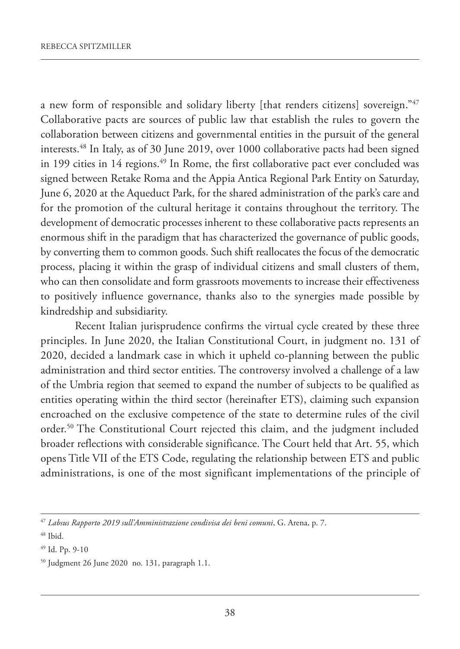a new form of responsible and solidary liberty [that renders citizens] sovereign."47 Collaborative pacts are sources of public law that establish the rules to govern the collaboration between citizens and governmental entities in the pursuit of the general interests. <sup>48</sup> In Italy, as of 30 June 2019, over 1000 collaborative pacts had been signed in 199 cities in 14 regions. $^{49}$  In Rome, the first collaborative pact ever concluded was signed between Retake Roma and the Appia Antica Regional Park Entity on Saturday, June 6, 2020 at the Aqueduct Park, for the shared administration of the park's care and for the promotion of the cultural heritage it contains throughout the territory. The development of democratic processes inherent to these collaborative pacts represents an enormous shift in the paradigm that has characterized the governance of public goods, by converting them to common goods. Such shift reallocates the focus of the democratic process, placing it within the grasp of individual citizens and small clusters of them, who can then consolidate and form grassroots movements to increase their effectiveness to positively influence governance, thanks also to the synergies made possible by kindredship and subsidiarity.

Recent Italian jurisprudence confirms the virtual cycle created by these three principles. In June 2020, the Italian Constitutional Court, in judgment no. 131 of 2020, decided a landmark case in which it upheld co-planning between the public administration and third sector entities. The controversy involved a challenge of a law of the Umbria region that seemed to expand the number of subjects to be qualified as entities operating within the third sector (hereinafter ETS), claiming such expansion encroached on the exclusive competence of the state to determine rules of the civil order. <sup>50</sup> The Constitutional Court rejected this claim, and the judgment included broader reflections with considerable significance. The Court held that Art. 55, which opens Title VII of the ETS Code, regulating the relationship between ETS and public administrations, is one of the most significant implementations of the principle of

<sup>47</sup> *Labsus Rapporto 2019 sull'Amministrazione condivisa dei beni comuni*, G. Arena, p. 7.

<sup>48</sup> Ibid.

<sup>49</sup> Id. Pp. 9-10

<sup>50</sup> Judgment 26 June 2020 no. 131, paragraph 1.1.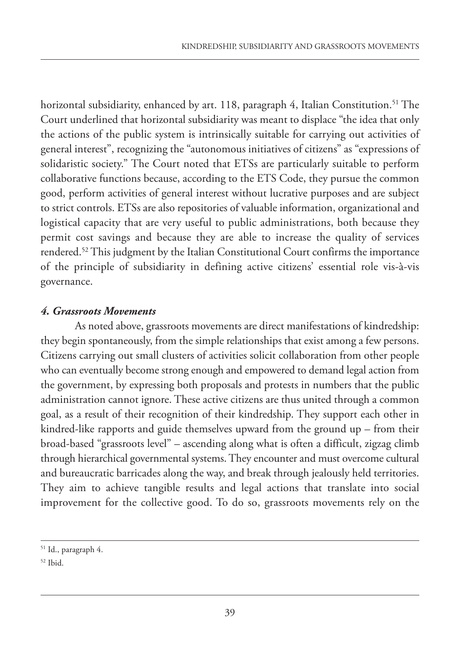horizontal subsidiarity, enhanced by art. 118, paragraph 4, Italian Constitution. <sup>51</sup> The Court underlined that horizontal subsidiarity was meant to displace "the idea that only the actions of the public system is intrinsically suitable for carrying out activities of general interest", recognizing the "autonomous initiatives of citizens" as "expressions of solidaristic society." The Court noted that ETSs are particularly suitable to perform collaborative functions because, according to the ETS Code, they pursue the common good, perform activities of general interest without lucrative purposes and are subject to strict controls. ETSs are also repositories of valuable information, organizational and logistical capacity that are very useful to public administrations, both because they permit cost savings and because they are able to increase the quality of services rendered. <sup>52</sup> This judgment by the Italian Constitutional Court confirms the importance of the principle of subsidiarity in defining active citizens' essential role vis-à-vis governance.

## *4. Grassroots Movements*

As noted above, grassroots movements are direct manifestations of kindredship: they begin spontaneously, from the simple relationships that exist among a few persons. Citizens carrying out small clusters of activities solicit collaboration from other people who can eventually become strong enough and empowered to demand legal action from the government, by expressing both proposals and protests in numbers that the public administration cannot ignore. These active citizens are thus united through a common goal, as a result of their recognition of their kindredship. They support each other in kindred-like rapports and guide themselves upward from the ground  $up$  – from their broad-based "grassroots level" – ascending along what is often a difficult, zigzag climb through hierarchical governmental systems.They encounter and must overcome cultural and bureaucratic barricades along the way, and break through jealously held territories. They aim to achieve tangible results and legal actions that translate into social improvement for the collective good. To do so, grassroots movements rely on the

<sup>51</sup> Id., paragraph 4.

<sup>52</sup> Ibid.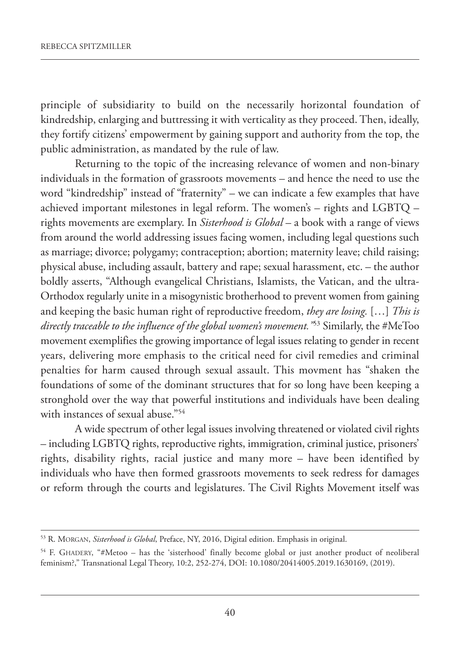principle of subsidiarity to build on the necessarily horizontal foundation of kindredship, enlarging and buttressing it with verticality as they proceed. Then, ideally, they fortify citizens' empowerment by gaining support and authority from the top, the public administration, as mandated by the rule of law.

Returning to the topic of the increasing relevance of women and non-binary individuals in the formation of grassroots movements – and hence the need to use the word "kindredship" instead of "fraternity" – we can indicate a few examples that have achieved important milestones in legal reform. The women's – rights and LGBTQ – rights movements are exemplary. In *Sisterhood is Global* – a book with a range of views from around the world addressing issues facing women, including legal questions such as marriage; divorce; polygamy; contraception; abortion; maternity leave; child raising; physical abuse, including assault, battery and rape; sexual harassment, etc. – the author boldly asserts, "Although evangelical Christians, Islamists, the Vatican, and the ultra-Orthodox regularly unite in a misogynistic brotherhood to prevent women from gaining and keeping the basic human right of reproductive freedom, *they are losing.* […] *This is directly traceable to the influence of the global women's movement."*<sup>53</sup> Similarly, the #MeToo movement exemplifies the growing importance of legal issues relating to gender in recent years, delivering more emphasis to the critical need for civil remedies and criminal penalties for harm caused through sexual assault. This movment has "shaken the foundations of some of the dominant structures that for so long have been keeping a stronghold over the way that powerful institutions and individuals have been dealing with instances of sexual abuse."54

A wide spectrum of other legal issues involving threatened or violated civil rights – including LGBTQ rights, reproductive rights, immigration, criminal justice, prisoners' rights, disability rights, racial justice and many more – have been identified by individuals who have then formed grassroots movements to seek redress for damages or reform through the courts and legislatures. The Civil Rights Movement itself was

<sup>53</sup> R. MORGAN, *Sisterhood is Global*, Preface, NY, 2016, Digital edition. Emphasis in original.

<sup>54</sup> F. GHADERY, "#Metoo – has the 'sisterhood' finally become global or just another product of neoliberal feminism?," Transnational Legal Theory, 10:2, 252-274, DOI: 10.1080/20414005.2019.1630169, (2019).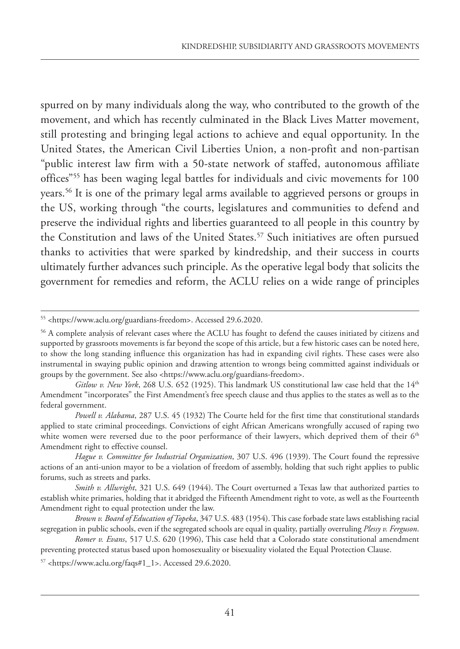spurred on by many individuals along the way, who contributed to the growth of the movement, and which has recently culminated in the Black Lives Matter movement, still protesting and bringing legal actions to achieve and equal opportunity. In the United States, the American Civil Liberties Union, a non-profit and non-partisan "public interest law firm with a 50-state network of staffed, autonomous affiliate offices"55 has been waging legal battles for individuals and civic movements for 100 years. <sup>56</sup> It is one of the primary legal arms available to aggrieved persons or groups in the US, working through "the courts, legislatures and communities to defend and preserve the individual rights and liberties guaranteed to all people in this country by the Constitution and laws of the United States. <sup>57</sup> Such initiatives are often pursued thanks to activities that were sparked by kindredship, and their success in courts ultimately further advances such principle. As the operative legal body that solicits the government for remedies and reform, the ACLU relies on a wide range of principles

<sup>55</sup> <https://www.aclu.org/guardians-freedom>. Accessed 29.6.2020.

<sup>56</sup> A complete analysis of relevant cases where the ACLU has fought to defend the causes initiated by citizens and supported by grassroots movements is far beyond the scope of this article, but a few historic cases can be noted here, to show the long standing influence this organization has had in expanding civil rights. These cases were also instrumental in swaying public opinion and drawing attention to wrongs being committed against individuals or groups by the government. See also <https://www.aclu.org/guardians-freedom>.

*Gitlow v. New York*, 268 U.S. 652 (1925). This landmark US constitutional law case held that the 14th Amendment "incorporates" the First Amendment's free speech clause and thus applies to the states as well as to the federal government.

*Powell v. Alabama*, 287 U.S. 45 (1932) The Courte held for the first time that constitutional standards applied to state criminal proceedings. Convictions of eight African Americans wrongfully accused of raping two white women were reversed due to the poor performance of their lawyers, which deprived them of their 6<sup>th</sup> Amendment right to effective counsel.

*Hague v. Committee for Industrial Organization*, 307 U.S. 496 (1939). The Court found the repressive actions of an anti-union mayor to be a violation of freedom of assembly, holding that such right applies to public forums, such as streets and parks.

*Smith v. Allwright*, 321 U.S. 649 (1944). The Court overturned a Texas law that authorized parties to establish white primaries, holding that it abridged the Fifteenth Amendment right to vote, as well as the Fourteenth Amendment right to equal protection under the law.

*Brown v. Board of Education of Topeka*, 347 U.S. 483 (1954).This case forbade state laws establishing racial segregation in public schools, even if the segregated schools are equal in quality, partially overruling *Plessy v. Ferguson*.

*Romer v. Evans*, 517 U.S. 620 (1996), This case held that a Colorado state constitutional amendment preventing protected status based upon homosexuality or bisexuality violated the Equal Protection Clause.

 $57$  <https://www.aclu.org/faqs#1\_1>. Accessed 29.6.2020.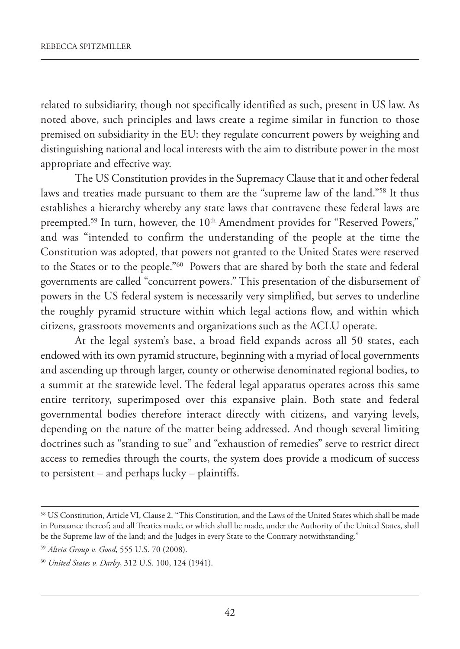related to subsidiarity, though not specifically identified as such, present in US law. As noted above, such principles and laws create a regime similar in function to those premised on subsidiarity in the EU: they regulate concurrent powers by weighing and distinguishing national and local interests with the aim to distribute power in the most appropriate and effective way.

The US Constitution provides in the Supremacy Clause that it and other federal laws and treaties made pursuant to them are the "supreme law of the land."58 It thus establishes a hierarchy whereby any state laws that contravene these federal laws are preempted.<sup>59</sup> In turn, however, the  $10^{\text{th}}$  Amendment provides for "Reserved Powers," and was "intended to confirm the understanding of the people at the time the Constitution was adopted, that powers not granted to the United States were reserved to the States or to the people."60 Powers that are shared by both the state and federal governments are called "concurrent powers." This presentation of the disbursement of powers in the US federal system is necessarily very simplified, but serves to underline the roughly pyramid structure within which legal actions flow, and within which citizens, grassroots movements and organizations such as the ACLU operate.

At the legal system's base, a broad field expands across all 50 states, each endowed with its own pyramid structure, beginning with a myriad of local governments and ascending up through larger, county or otherwise denominated regional bodies, to a summit at the statewide level. The federal legal apparatus operates across this same entire territory, superimposed over this expansive plain. Both state and federal governmental bodies therefore interact directly with citizens, and varying levels, depending on the nature of the matter being addressed. And though several limiting doctrines such as "standing to sue" and "exhaustion of remedies" serve to restrict direct access to remedies through the courts, the system does provide a modicum of success to persistent – and perhaps lucky – plaintiffs.

<sup>58</sup> US Constitution, Article VI, Clause 2. "This Constitution, and the Laws of the United States which shall be made in Pursuance thereof; and all Treaties made, or which shall be made, under the Authority of the United States, shall be the Supreme law of the land; and the Judges in every State to the Contrary notwithstanding."

<sup>59</sup> *Altria Group v. Good*, 555 U.S. 70 (2008).

<sup>60</sup> *United States v. Darby*, 312 U.S. 100, 124 (1941).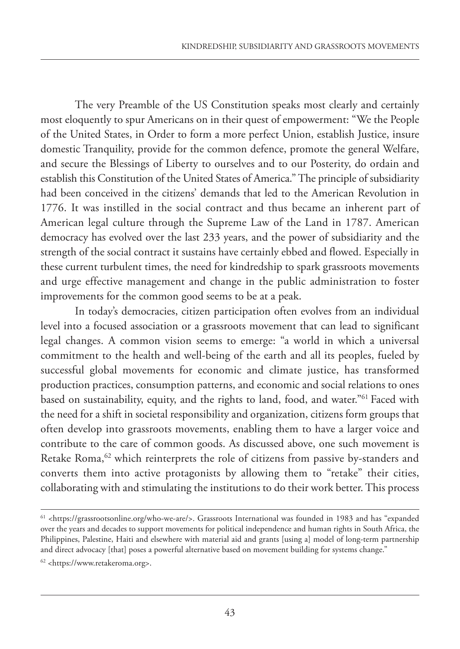The very Preamble of the US Constitution speaks most clearly and certainly most eloquently to spur Americans on in their quest of empowerment: "We the People of the United States, in Order to form a more perfect Union, establish Justice, insure domestic Tranquility, provide for the common defence, promote the general Welfare, and secure the Blessings of Liberty to ourselves and to our Posterity, do ordain and establish this Constitution of the United States of America."The principle of subsidiarity had been conceived in the citizens' demands that led to the American Revolution in 1776. It was instilled in the social contract and thus became an inherent part of American legal culture through the Supreme Law of the Land in 1787. American democracy has evolved over the last 233 years, and the power of subsidiarity and the strength of the social contract it sustains have certainly ebbed and flowed. Especially in these current turbulent times, the need for kindredship to spark grassroots movements and urge effective management and change in the public administration to foster improvements for the common good seems to be at a peak.

In today's democracies, citizen participation often evolves from an individual level into a focused association or a grassroots movement that can lead to significant legal changes. A common vision seems to emerge: "a world in which a universal commitment to the health and well-being of the earth and all its peoples, fueled by successful global movements for economic and climate justice, has transformed production practices, consumption patterns, and economic and social relations to ones based on sustainability, equity, and the rights to land, food, and water."61 Faced with the need for a shift in societal responsibility and organization, citizens form groups that often develop into grassroots movements, enabling them to have a larger voice and contribute to the care of common goods. As discussed above, one such movement is Retake Roma, <sup>62</sup> which reinterprets the role of citizens from passive by-standers and converts them into active protagonists by allowing them to "retake" their cities, collaborating with and stimulating the institutions to do their work better. This process

<sup>61</sup> <https://grassrootsonline.org/who-we-are/>. Grassroots International was founded in 1983 and has "expanded over the years and decades to support movements for political independence and human rights in South Africa, the Philippines, Palestine, Haiti and elsewhere with material aid and grants [using a] model of long-term partnership and direct advocacy [that] poses a powerful alternative based on movement building for systems change."

<sup>62</sup> <https://www.retakeroma.org>.